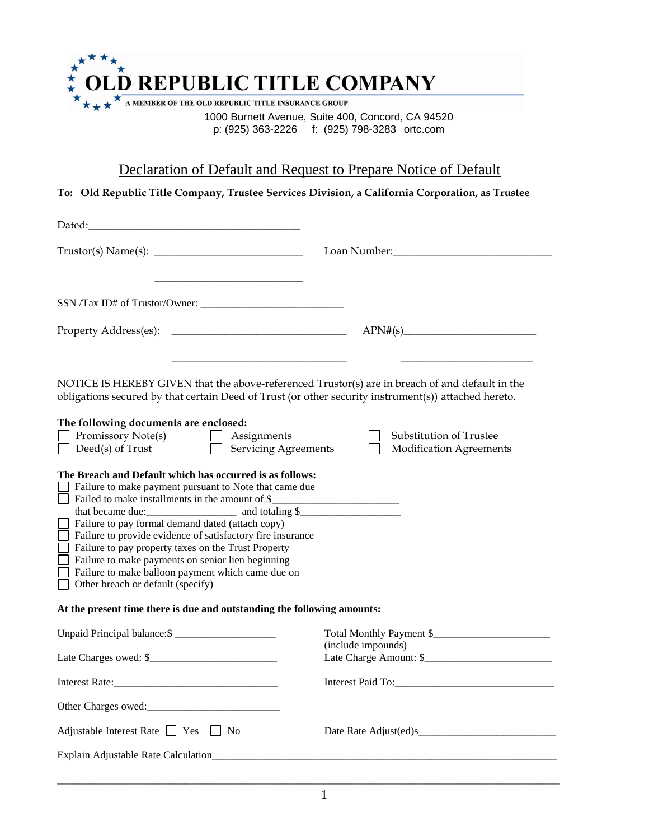

1000 Burnett Avenue, Suite 400, Concord, CA 94520 p: (925) 363-2226 f: (925) 798-3283 ortc.com

## Declaration of Default and Request to Prepare Notice of Default

## **To: Old Republic Title Company, Trustee Services Division, a California Corporation, as Trustee**

|                                                                                                                                                                                                                                                                                                                                                                                                                                                                                                                                                                                                                                                                                                                                                                                                                                                                                                        | Loan Number:<br><u> </u> |  |  |  |  |
|--------------------------------------------------------------------------------------------------------------------------------------------------------------------------------------------------------------------------------------------------------------------------------------------------------------------------------------------------------------------------------------------------------------------------------------------------------------------------------------------------------------------------------------------------------------------------------------------------------------------------------------------------------------------------------------------------------------------------------------------------------------------------------------------------------------------------------------------------------------------------------------------------------|--------------------------|--|--|--|--|
|                                                                                                                                                                                                                                                                                                                                                                                                                                                                                                                                                                                                                                                                                                                                                                                                                                                                                                        |                          |  |  |  |  |
|                                                                                                                                                                                                                                                                                                                                                                                                                                                                                                                                                                                                                                                                                                                                                                                                                                                                                                        |                          |  |  |  |  |
|                                                                                                                                                                                                                                                                                                                                                                                                                                                                                                                                                                                                                                                                                                                                                                                                                                                                                                        | APN#(s)                  |  |  |  |  |
| NOTICE IS HEREBY GIVEN that the above-referenced Trustor(s) are in breach of and default in the<br>obligations secured by that certain Deed of Trust (or other security instrument(s)) attached hereto.<br>The following documents are enclosed:<br>Promissory Note(s)<br>Substitution of Trustee<br>Assignments<br><b>Servicing Agreements</b><br>Deed(s) of Trust<br><b>Modification Agreements</b><br>The Breach and Default which has occurred is as follows:<br>Failure to make payment pursuant to Note that came due<br>Failed to make installments in the amount of \$<br>Failure to pay formal demand dated (attach copy)<br>Failure to provide evidence of satisfactory fire insurance<br>Failure to pay property taxes on the Trust Property<br>Failure to make payments on senior lien beginning<br>Failure to make balloon payment which came due on<br>Other breach or default (specify) |                          |  |  |  |  |
| At the present time there is due and outstanding the following amounts:                                                                                                                                                                                                                                                                                                                                                                                                                                                                                                                                                                                                                                                                                                                                                                                                                                |                          |  |  |  |  |
| Unpaid Principal balance: \$                                                                                                                                                                                                                                                                                                                                                                                                                                                                                                                                                                                                                                                                                                                                                                                                                                                                           | (include impounds)       |  |  |  |  |
|                                                                                                                                                                                                                                                                                                                                                                                                                                                                                                                                                                                                                                                                                                                                                                                                                                                                                                        | Late Charge Amount: \$   |  |  |  |  |
|                                                                                                                                                                                                                                                                                                                                                                                                                                                                                                                                                                                                                                                                                                                                                                                                                                                                                                        |                          |  |  |  |  |
|                                                                                                                                                                                                                                                                                                                                                                                                                                                                                                                                                                                                                                                                                                                                                                                                                                                                                                        |                          |  |  |  |  |
| Adjustable Interest Rate T Yes T No                                                                                                                                                                                                                                                                                                                                                                                                                                                                                                                                                                                                                                                                                                                                                                                                                                                                    |                          |  |  |  |  |
| Explain Adjustable Rate Calculation<br>explain Adjustable Rate Calculation                                                                                                                                                                                                                                                                                                                                                                                                                                                                                                                                                                                                                                                                                                                                                                                                                             |                          |  |  |  |  |

\_\_\_\_\_\_\_\_\_\_\_\_\_\_\_\_\_\_\_\_\_\_\_\_\_\_\_\_\_\_\_\_\_\_\_\_\_\_\_\_\_\_\_\_\_\_\_\_\_\_\_\_\_\_\_\_\_\_\_\_\_\_\_\_\_\_\_\_\_\_\_\_\_\_\_\_\_\_\_\_\_\_\_\_\_\_\_\_\_\_\_\_\_\_\_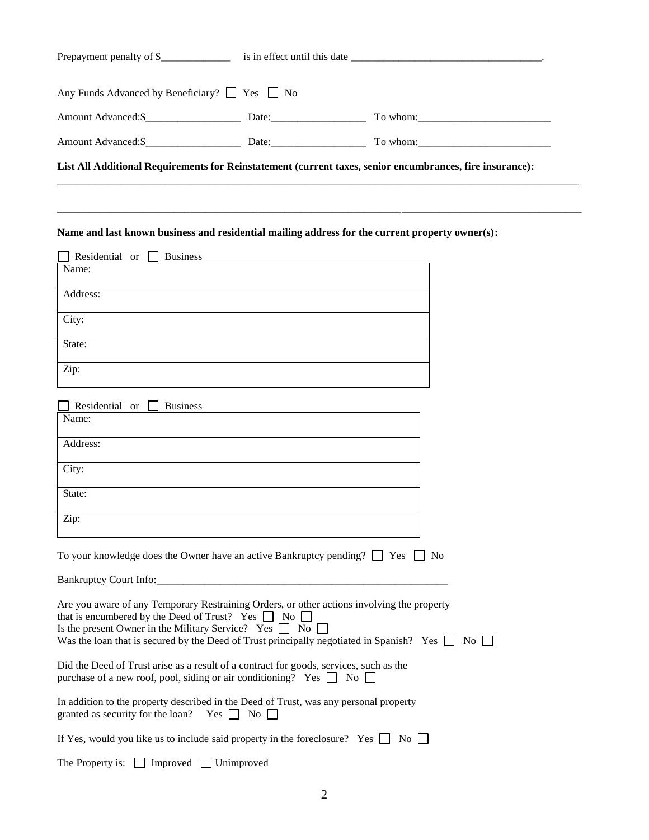| Any Funds Advanced by Beneficiary? T Yes No                                                                                                                           |                     |                                                                                                          |
|-----------------------------------------------------------------------------------------------------------------------------------------------------------------------|---------------------|----------------------------------------------------------------------------------------------------------|
|                                                                                                                                                                       |                     |                                                                                                          |
|                                                                                                                                                                       |                     |                                                                                                          |
|                                                                                                                                                                       |                     | List All Additional Requirements for Reinstatement (current taxes, senior encumbrances, fire insurance): |
|                                                                                                                                                                       |                     |                                                                                                          |
|                                                                                                                                                                       |                     | Name and last known business and residential mailing address for the current property owner(s):          |
| Residential or<br><b>Business</b>                                                                                                                                     |                     |                                                                                                          |
| Name:                                                                                                                                                                 |                     |                                                                                                          |
| Address:                                                                                                                                                              |                     |                                                                                                          |
| City:                                                                                                                                                                 |                     |                                                                                                          |
| State:                                                                                                                                                                |                     |                                                                                                          |
| Zip:                                                                                                                                                                  |                     |                                                                                                          |
|                                                                                                                                                                       |                     |                                                                                                          |
| Residential or<br><b>Business</b><br>Name:                                                                                                                            |                     |                                                                                                          |
|                                                                                                                                                                       |                     |                                                                                                          |
| Address:                                                                                                                                                              |                     |                                                                                                          |
| City:                                                                                                                                                                 |                     |                                                                                                          |
| State:                                                                                                                                                                |                     |                                                                                                          |
| Zip:                                                                                                                                                                  |                     |                                                                                                          |
|                                                                                                                                                                       |                     |                                                                                                          |
| To your knowledge does the Owner have an active Bankruptcy pending? $\Box$ Yes $\Box$ No                                                                              |                     |                                                                                                          |
|                                                                                                                                                                       |                     |                                                                                                          |
| Are you aware of any Temporary Restraining Orders, or other actions involving the property<br>that is encumbered by the Deed of Trust? Yes $\Box$ No $\Box$           |                     |                                                                                                          |
| Is the present Owner in the Military Service? Yes $\Box$ No $\Box$<br>Was the loan that is secured by the Deed of Trust principally negotiated in Spanish? Yes $\Box$ |                     | No                                                                                                       |
| Did the Deed of Trust arise as a result of a contract for goods, services, such as the                                                                                |                     |                                                                                                          |
| purchase of a new roof, pool, siding or air conditioning? Yes $\Box$ No $\Box$                                                                                        |                     |                                                                                                          |
| In addition to the property described in the Deed of Trust, was any personal property<br>granted as security for the loan?                                            | $Yes \tNo$          |                                                                                                          |
| If Yes, would you like us to include said property in the foreclosure? Yes $\Box$ No                                                                                  |                     |                                                                                                          |
| The Property is: $\Box$                                                                                                                                               | Improved Unimproved |                                                                                                          |